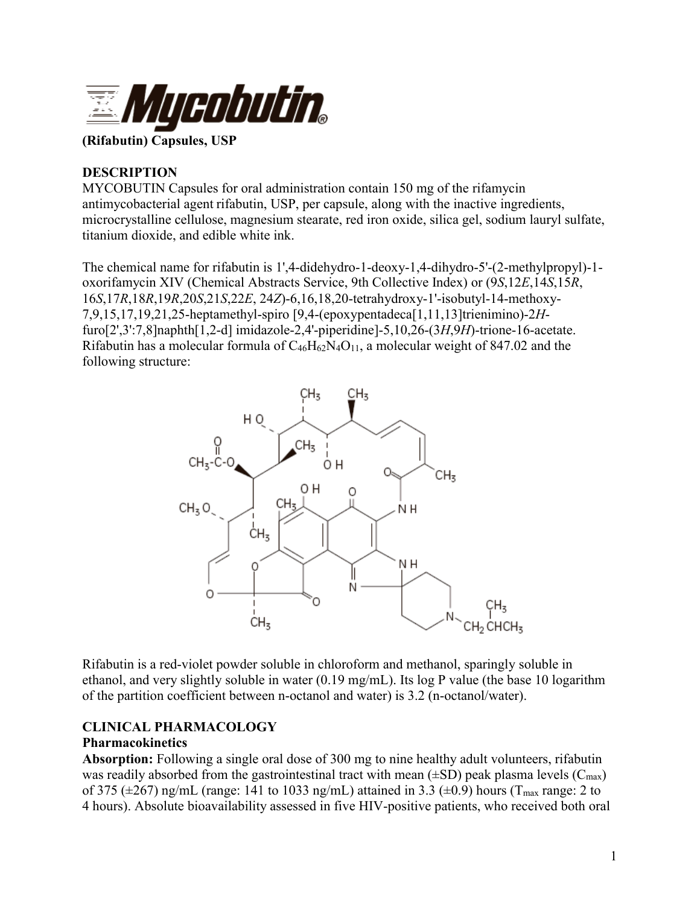

#### **(Rifabutin) Capsules, USP**

### **DESCRIPTION**

MYCOBUTIN Capsules for oral administration contain 150 mg of the rifamycin antimycobacterial agent rifabutin, USP, per capsule, along with the inactive ingredients, microcrystalline cellulose, magnesium stearate, red iron oxide, silica gel, sodium lauryl sulfate, titanium dioxide, and edible white ink.

The chemical name for rifabutin is 1',4-didehydro-1-deoxy-1,4-dihydro-5'-(2-methylpropyl)-1 oxorifamycin XIV (Chemical Abstracts Service, 9th Collective Index) or (9*S*,12*E*,14*S*,15*R*, 16*S*,17*R*,18*R*,19*R*,20*S*,21*S*,22*E*, 24*Z*)-6,16,18,20-tetrahydroxy-1'-isobutyl-14-methoxy-7,9,15,17,19,21,25-heptamethyl-spiro [9,4-(epoxypentadeca[1,11,13]trienimino)-2*H*furo[2',3':7,8]naphth[1,2-d] imidazole-2,4'-piperidine]-5,10,26-(3*H*,9*H*)-trione-16-acetate. Rifabutin has a molecular formula of  $C_{46}H_{62}N_4O_{11}$ , a molecular weight of 847.02 and the following structure:



Rifabutin is a red-violet powder soluble in chloroform and methanol, sparingly soluble in ethanol, and very slightly soluble in water (0.19 mg/mL). Its log P value (the base 10 logarithm of the partition coefficient between n-octanol and water) is 3.2 (n-octanol/water).

# **CLINICAL PHARMACOLOGY**

#### **Pharmacokinetics**

**Absorption:** Following a single oral dose of 300 mg to nine healthy adult volunteers, rifabutin was readily absorbed from the gastrointestinal tract with mean  $(\pm SD)$  peak plasma levels ( $C_{\text{max}}$ ) of 375 ( $\pm$ 267) ng/mL (range: 141 to 1033 ng/mL) attained in 3.3 ( $\pm$ 0.9) hours (T<sub>max</sub> range: 2 to 4 hours). Absolute bioavailability assessed in five HIV-positive patients, who received both oral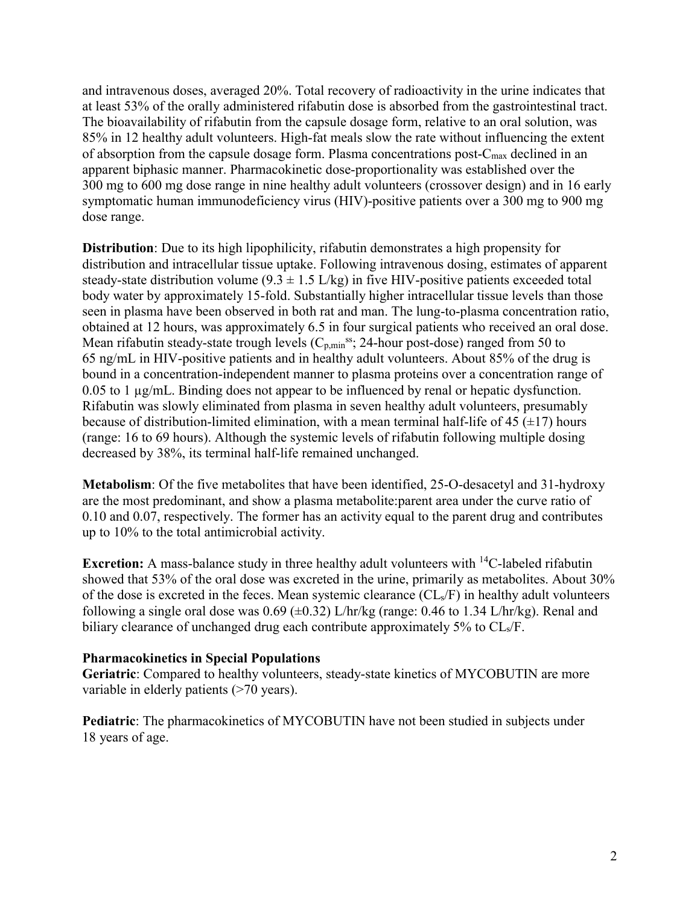and intravenous doses, averaged 20%. Total recovery of radioactivity in the urine indicates that at least 53% of the orally administered rifabutin dose is absorbed from the gastrointestinal tract. The bioavailability of rifabutin from the capsule dosage form, relative to an oral solution, was 85% in 12 healthy adult volunteers. High-fat meals slow the rate without influencing the extent of absorption from the capsule dosage form. Plasma concentrations post- $C_{\text{max}}$  declined in an apparent biphasic manner. Pharmacokinetic dose-proportionality was established over the 300 mg to 600 mg dose range in nine healthy adult volunteers (crossover design) and in 16 early symptomatic human immunodeficiency virus (HIV)-positive patients over a 300 mg to 900 mg dose range.

**Distribution**: Due to its high lipophilicity, rifabutin demonstrates a high propensity for distribution and intracellular tissue uptake. Following intravenous dosing, estimates of apparent steady-state distribution volume  $(9.3 \pm 1.5 \text{ L/kg})$  in five HIV-positive patients exceeded total body water by approximately 15-fold. Substantially higher intracellular tissue levels than those seen in plasma have been observed in both rat and man. The lung-to-plasma concentration ratio, obtained at 12 hours, was approximately 6.5 in four surgical patients who received an oral dose. Mean rifabutin steady-state trough levels  $(C_{p,min}^{ss}$ ; 24-hour post-dose) ranged from 50 to 65 ng/mL in HIV-positive patients and in healthy adult volunteers. About 85% of the drug is bound in a concentration-independent manner to plasma proteins over a concentration range of 0.05 to 1 µg/mL. Binding does not appear to be influenced by renal or hepatic dysfunction. Rifabutin was slowly eliminated from plasma in seven healthy adult volunteers, presumably because of distribution-limited elimination, with a mean terminal half-life of 45  $(\pm 17)$  hours (range: 16 to 69 hours). Although the systemic levels of rifabutin following multiple dosing decreased by 38%, its terminal half-life remained unchanged.

**Metabolism**: Of the five metabolites that have been identified, 25-O-desacetyl and 31-hydroxy are the most predominant, and show a plasma metabolite:parent area under the curve ratio of 0.10 and 0.07, respectively. The former has an activity equal to the parent drug and contributes up to 10% to the total antimicrobial activity.

**Excretion:** A mass-balance study in three healthy adult volunteers with <sup>14</sup>C-labeled rifabutin showed that 53% of the oral dose was excreted in the urine, primarily as metabolites. About 30% of the dose is excreted in the feces. Mean systemic clearance  $(CL<sub>s</sub>/F)$  in healthy adult volunteers following a single oral dose was  $0.69$  ( $\pm 0.32$ ) L/hr/kg (range: 0.46 to 1.34 L/hr/kg). Renal and biliary clearance of unchanged drug each contribute approximately 5% to CL<sub>s</sub>/F.

#### **Pharmacokinetics in Special Populations**

**Geriatric**: Compared to healthy volunteers, steady-state kinetics of MYCOBUTIN are more variable in elderly patients (>70 years).

**Pediatric**: The pharmacokinetics of MYCOBUTIN have not been studied in subjects under 18 years of age.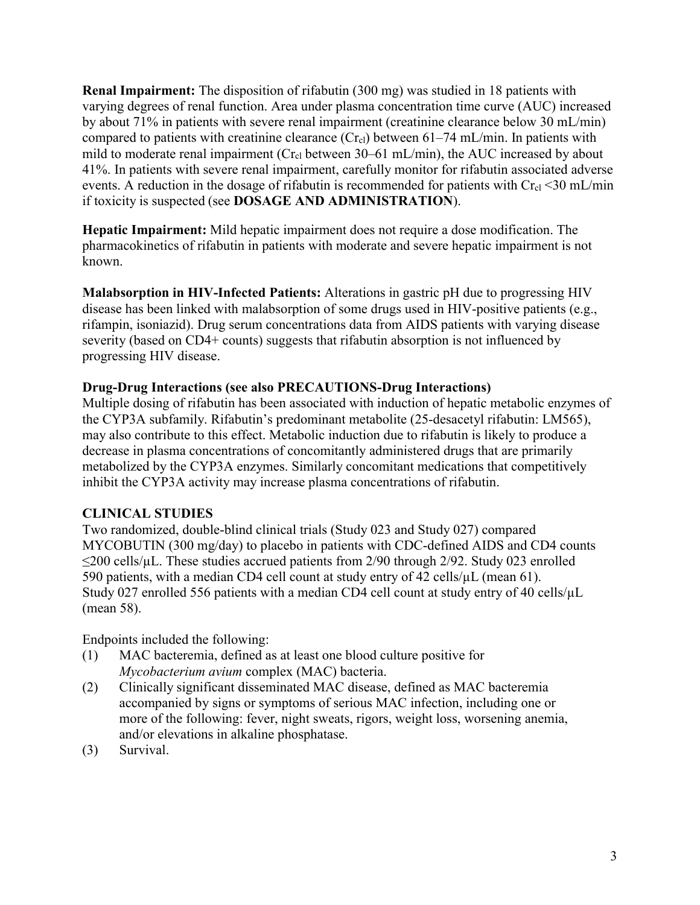**Renal Impairment:** The disposition of rifabutin (300 mg) was studied in 18 patients with varying degrees of renal function. Area under plasma concentration time curve (AUC) increased by about 71% in patients with severe renal impairment (creatinine clearance below 30 mL/min) compared to patients with creatinine clearance  $(Cr_{cl})$  between 61–74 mL/min. In patients with mild to moderate renal impairment ( $Cr_{c1}$  between 30–61 mL/min), the AUC increased by about 41%. In patients with severe renal impairment, carefully monitor for rifabutin associated adverse events. A reduction in the dosage of rifabutin is recommended for patients with  $Cr_{cl} < 30$  mL/min if toxicity is suspected (see **DOSAGE AND ADMINISTRATION**).

**Hepatic Impairment:** Mild hepatic impairment does not require a dose modification. The pharmacokinetics of rifabutin in patients with moderate and severe hepatic impairment is not known.

**Malabsorption in HIV-Infected Patients:** Alterations in gastric pH due to progressing HIV disease has been linked with malabsorption of some drugs used in HIV-positive patients (e.g., rifampin, isoniazid). Drug serum concentrations data from AIDS patients with varying disease severity (based on CD4+ counts) suggests that rifabutin absorption is not influenced by progressing HIV disease.

# **Drug-Drug Interactions (see also PRECAUTIONS-Drug Interactions)**

Multiple dosing of rifabutin has been associated with induction of hepatic metabolic enzymes of the CYP3A subfamily. Rifabutin's predominant metabolite (25-desacetyl rifabutin: LM565), may also contribute to this effect. Metabolic induction due to rifabutin is likely to produce a decrease in plasma concentrations of concomitantly administered drugs that are primarily metabolized by the CYP3A enzymes. Similarly concomitant medications that competitively inhibit the CYP3A activity may increase plasma concentrations of rifabutin.

# **CLINICAL STUDIES**

Two randomized, double-blind clinical trials (Study 023 and Study 027) compared MYCOBUTIN (300 mg/day) to placebo in patients with CDC-defined AIDS and CD4 counts  $\leq$ 200 cells/µL. These studies accrued patients from 2/90 through 2/92. Study 023 enrolled 590 patients, with a median CD4 cell count at study entry of 42 cells/µL (mean 61). Study 027 enrolled 556 patients with a median CD4 cell count at study entry of 40 cells/ $\mu$ L (mean 58).

Endpoints included the following:

- (1) MAC bacteremia, defined as at least one blood culture positive for *Mycobacterium avium* complex (MAC) bacteria.
- (2) Clinically significant disseminated MAC disease, defined as MAC bacteremia accompanied by signs or symptoms of serious MAC infection, including one or more of the following: fever, night sweats, rigors, weight loss, worsening anemia, and/or elevations in alkaline phosphatase.
- (3) Survival.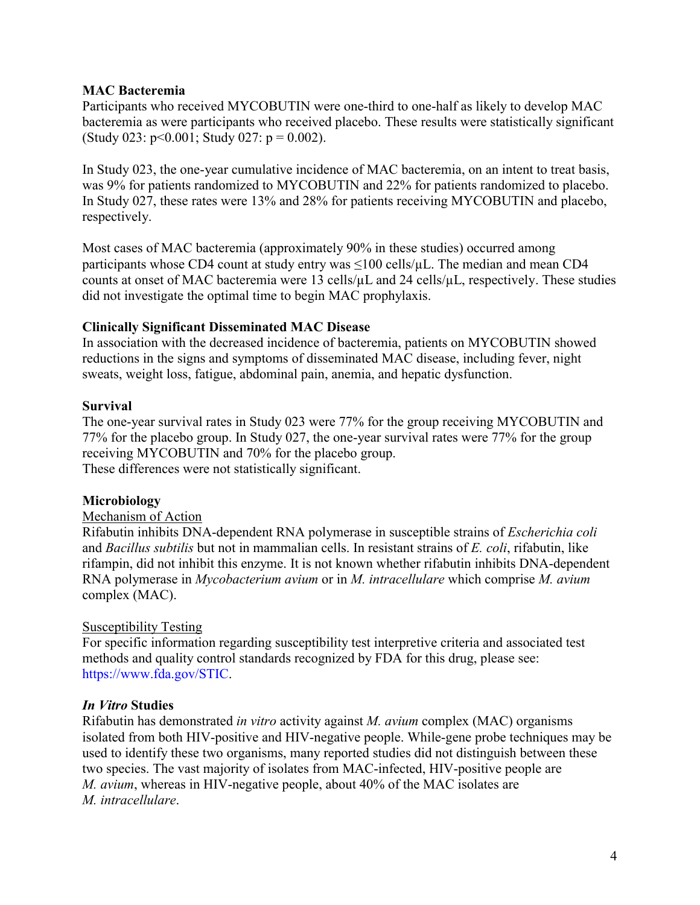### **MAC Bacteremia**

Participants who received MYCOBUTIN were one-third to one-half as likely to develop MAC bacteremia as were participants who received placebo. These results were statistically significant (Study 023:  $p<0.001$ ; Study 027:  $p = 0.002$ ).

In Study 023, the one-year cumulative incidence of MAC bacteremia, on an intent to treat basis, was 9% for patients randomized to MYCOBUTIN and 22% for patients randomized to placebo. In Study 027, these rates were 13% and 28% for patients receiving MYCOBUTIN and placebo, respectively.

Most cases of MAC bacteremia (approximately 90% in these studies) occurred among participants whose CD4 count at study entry was  $\leq 100$  cells/ $\mu$ L. The median and mean CD4 counts at onset of MAC bacteremia were 13 cells/µL and 24 cells/µL, respectively. These studies did not investigate the optimal time to begin MAC prophylaxis.

### **Clinically Significant Disseminated MAC Disease**

In association with the decreased incidence of bacteremia, patients on MYCOBUTIN showed reductions in the signs and symptoms of disseminated MAC disease, including fever, night sweats, weight loss, fatigue, abdominal pain, anemia, and hepatic dysfunction.

### **Survival**

The one-year survival rates in Study 023 were 77% for the group receiving MYCOBUTIN and 77% for the placebo group. In Study 027, the one-year survival rates were 77% for the group receiving MYCOBUTIN and 70% for the placebo group. These differences were not statistically significant.

# **Microbiology**

### Mechanism of Action

Rifabutin inhibits DNA-dependent RNA polymerase in susceptible strains of *Escherichia coli* and *Bacillus subtilis* but not in mammalian cells. In resistant strains of *E. coli*, rifabutin, like rifampin, did not inhibit this enzyme. It is not known whether rifabutin inhibits DNA-dependent RNA polymerase in *Mycobacterium avium* or in *M. intracellulare* which comprise *M. avium* complex (MAC).

# Susceptibility Testing

For specific information regarding susceptibility test interpretive criteria and associated test methods and quality control standards recognized by FDA for this drug, please see: <https://www.fda.gov/STIC>.

# *In Vitro* **Studies**

Rifabutin has demonstrated *in vitro* activity against *M. avium* complex (MAC) organisms isolated from both HIV-positive and HIV-negative people. While-gene probe techniques may be used to identify these two organisms, many reported studies did not distinguish between these two species. The vast majority of isolates from MAC-infected, HIV-positive people are *M. avium*, whereas in HIV-negative people, about 40% of the MAC isolates are *M. intracellulare*.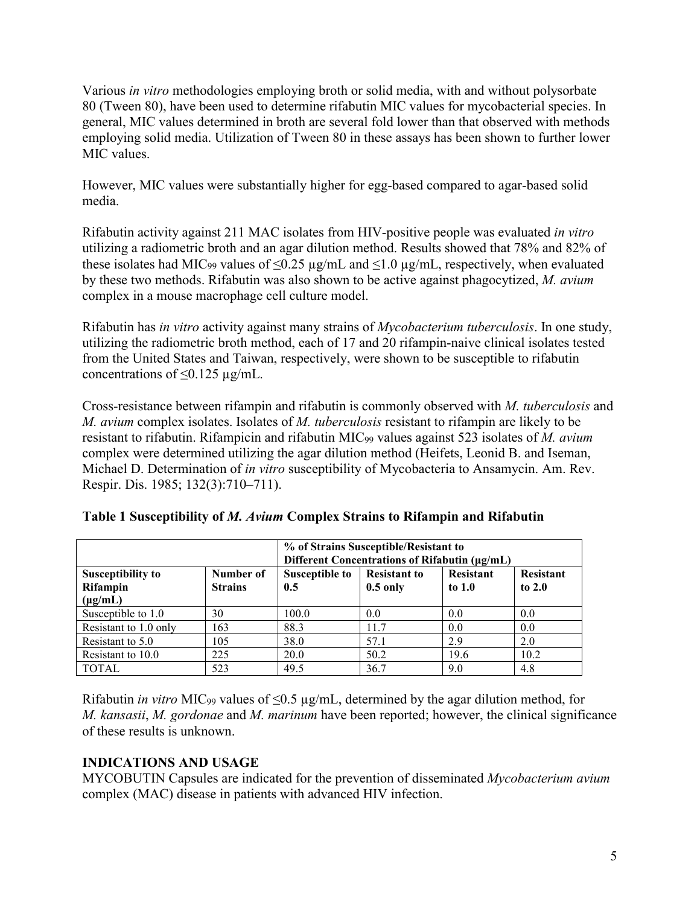Various *in vitro* methodologies employing broth or solid media, with and without polysorbate 80 (Tween 80), have been used to determine rifabutin MIC values for mycobacterial species. In general, MIC values determined in broth are several fold lower than that observed with methods employing solid media. Utilization of Tween 80 in these assays has been shown to further lower MIC values.

However, MIC values were substantially higher for egg-based compared to agar-based solid media.

Rifabutin activity against 211 MAC isolates from HIV-positive people was evaluated *in vitro* utilizing a radiometric broth and an agar dilution method. Results showed that 78% and 82% of these isolates had MIC<sub>99</sub> values of  $\leq$ 0.25 µg/mL and  $\leq$ 1.0 µg/mL, respectively, when evaluated by these two methods. Rifabutin was also shown to be active against phagocytized, *M. avium* complex in a mouse macrophage cell culture model.

Rifabutin has *in vitro* activity against many strains of *Mycobacterium tuberculosis*. In one study, utilizing the radiometric broth method, each of 17 and 20 rifampin-naive clinical isolates tested from the United States and Taiwan, respectively, were shown to be susceptible to rifabutin concentrations of  $\leq 0.125 \mu g/mL$ .

Cross-resistance between rifampin and rifabutin is commonly observed with *M. tuberculosis* and *M. avium* complex isolates. Isolates of *M. tuberculosis* resistant to rifampin are likely to be resistant to rifabutin. Rifampicin and rifabutin MIC<sup>99</sup> values against 523 isolates of *M. avium* complex were determined utilizing the agar dilution method (Heifets, Leonid B. and Iseman, Michael D. Determination of *in vitro* susceptibility of Mycobacteria to Ansamycin. Am. Rev. Respir. Dis. 1985; 132(3):710–711).

|                                                      |                             | % of Strains Susceptible/Resistant to<br>Different Concentrations of Rifabutin (µg/mL) |                                   |                              |                       |
|------------------------------------------------------|-----------------------------|----------------------------------------------------------------------------------------|-----------------------------------|------------------------------|-----------------------|
| <b>Susceptibility to</b><br>Rifampin<br>$(\mu g/mL)$ | Number of<br><b>Strains</b> | <b>Susceptible to</b><br>0.5                                                           | <b>Resistant to</b><br>$0.5$ only | <b>Resistant</b><br>to $1.0$ | Resistant<br>to $2.0$ |
| Susceptible to 1.0                                   | 30                          | 100.0                                                                                  | 0.0                               | 0.0                          | 0.0                   |
| Resistant to 1.0 only                                | 163                         | 88.3                                                                                   | 11.7                              | 0.0                          | 0.0                   |
| Resistant to 5.0                                     | 105                         | 38.0                                                                                   | 57.1                              | 2.9                          | 2.0                   |
| Resistant to 10.0                                    | 225                         | 20.0                                                                                   | 50.2                              | 19.6                         | 10.2                  |
| <b>TOTAL</b>                                         | 523                         | 49.5                                                                                   | 36.7                              | 9.0                          | 4.8                   |

**Table 1 Susceptibility of** *M. Avium* **Complex Strains to Rifampin and Rifabutin**

Rifabutin *in vitro* MIC<sup>99</sup> values of ≤0.5 µg/mL, determined by the agar dilution method, for *M. kansasii*, *M. gordonae* and *M. marinum* have been reported; however, the clinical significance of these results is unknown.

# **INDICATIONS AND USAGE**

MYCOBUTIN Capsules are indicated for the prevention of disseminated *Mycobacterium avium*  complex (MAC) disease in patients with advanced HIV infection.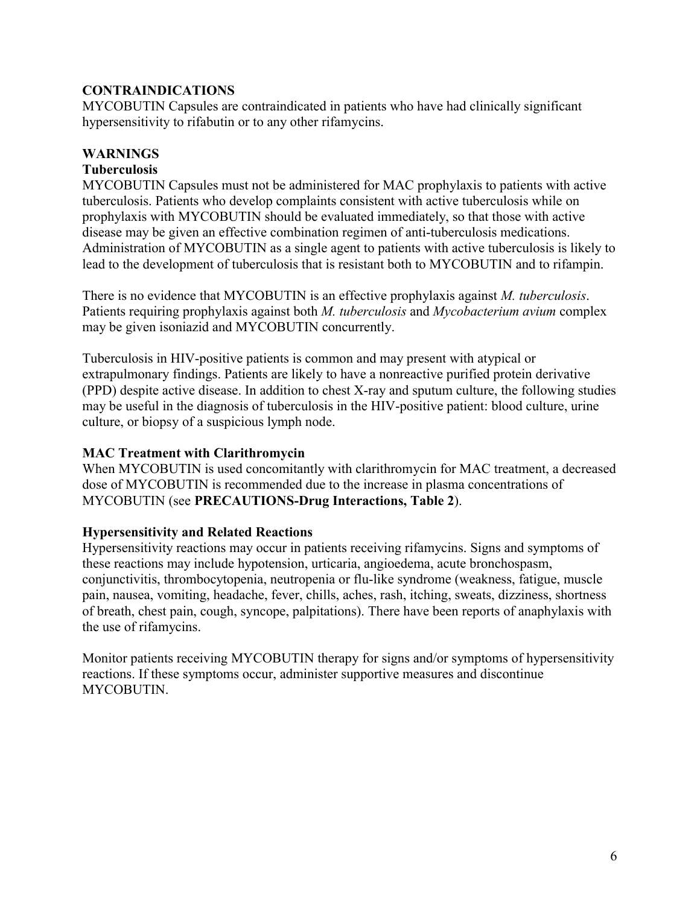# **CONTRAINDICATIONS**

MYCOBUTIN Capsules are contraindicated in patients who have had clinically significant hypersensitivity to rifabutin or to any other rifamycins.

# **WARNINGS**

### **Tuberculosis**

MYCOBUTIN Capsules must not be administered for MAC prophylaxis to patients with active tuberculosis. Patients who develop complaints consistent with active tuberculosis while on prophylaxis with MYCOBUTIN should be evaluated immediately, so that those with active disease may be given an effective combination regimen of anti-tuberculosis medications. Administration of MYCOBUTIN as a single agent to patients with active tuberculosis is likely to lead to the development of tuberculosis that is resistant both to MYCOBUTIN and to rifampin.

There is no evidence that MYCOBUTIN is an effective prophylaxis against *M. tuberculosis*. Patients requiring prophylaxis against both *M. tuberculosis* and *Mycobacterium avium* complex may be given isoniazid and MYCOBUTIN concurrently.

Tuberculosis in HIV-positive patients is common and may present with atypical or extrapulmonary findings. Patients are likely to have a nonreactive purified protein derivative (PPD) despite active disease. In addition to chest X-ray and sputum culture, the following studies may be useful in the diagnosis of tuberculosis in the HIV-positive patient: blood culture, urine culture, or biopsy of a suspicious lymph node.

### **MAC Treatment with Clarithromycin**

When MYCOBUTIN is used concomitantly with clarithromycin for MAC treatment, a decreased dose of MYCOBUTIN is recommended due to the increase in plasma concentrations of MYCOBUTIN (see **PRECAUTIONS-Drug Interactions, Table 2**).

# **Hypersensitivity and Related Reactions**

Hypersensitivity reactions may occur in patients receiving rifamycins. Signs and symptoms of these reactions may include hypotension, urticaria, angioedema, acute bronchospasm, conjunctivitis, thrombocytopenia, neutropenia or flu-like syndrome (weakness, fatigue, muscle pain, nausea, vomiting, headache, fever, chills, aches, rash, itching, sweats, dizziness, shortness of breath, chest pain, cough, syncope, palpitations). There have been reports of anaphylaxis with the use of rifamycins.

Monitor patients receiving MYCOBUTIN therapy for signs and/or symptoms of hypersensitivity reactions. If these symptoms occur, administer supportive measures and discontinue MYCOBUTIN.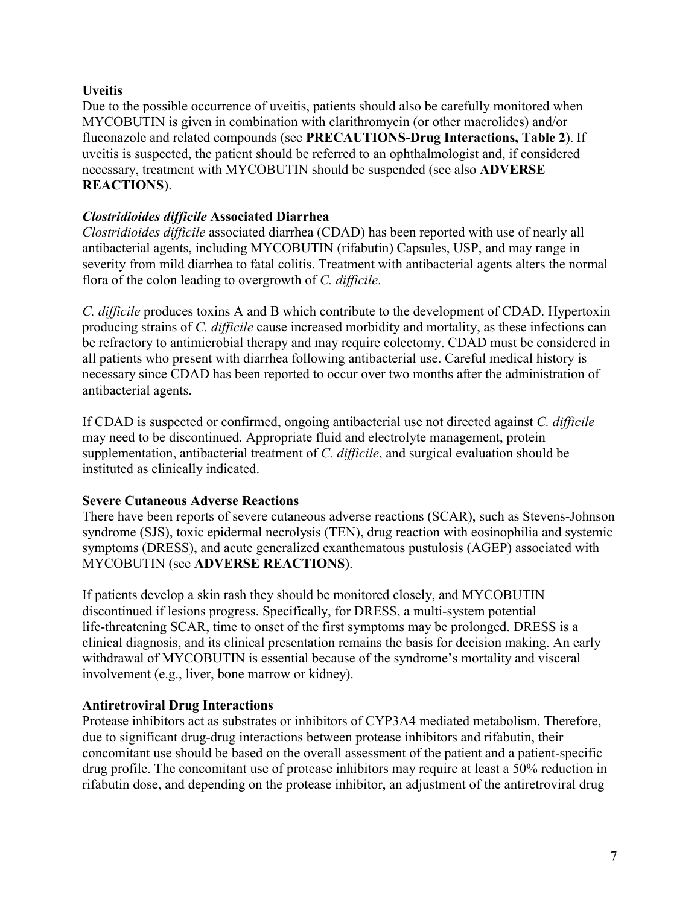# **Uveitis**

Due to the possible occurrence of uveitis, patients should also be carefully monitored when MYCOBUTIN is given in combination with clarithromycin (or other macrolides) and/or fluconazole and related compounds (see **PRECAUTIONS-Drug Interactions, Table 2**). If uveitis is suspected, the patient should be referred to an ophthalmologist and, if considered necessary, treatment with MYCOBUTIN should be suspended (see also **ADVERSE REACTIONS**).

# *Clostridioides difficile* **Associated Diarrhea**

*Clostridioides difficile* associated diarrhea (CDAD) has been reported with use of nearly all antibacterial agents, including MYCOBUTIN (rifabutin) Capsules, USP, and may range in severity from mild diarrhea to fatal colitis. Treatment with antibacterial agents alters the normal flora of the colon leading to overgrowth of *C. difficile*.

*C. difficile* produces toxins A and B which contribute to the development of CDAD. Hypertoxin producing strains of *C. difficile* cause increased morbidity and mortality, as these infections can be refractory to antimicrobial therapy and may require colectomy. CDAD must be considered in all patients who present with diarrhea following antibacterial use. Careful medical history is necessary since CDAD has been reported to occur over two months after the administration of antibacterial agents.

If CDAD is suspected or confirmed, ongoing antibacterial use not directed against *C. difficile* may need to be discontinued. Appropriate fluid and electrolyte management, protein supplementation, antibacterial treatment of *C. difficile*, and surgical evaluation should be instituted as clinically indicated.

# **Severe Cutaneous Adverse Reactions**

There have been reports of severe cutaneous adverse reactions (SCAR), such as Stevens-Johnson syndrome (SJS), toxic epidermal necrolysis (TEN), drug reaction with eosinophilia and systemic symptoms (DRESS), and acute generalized exanthematous pustulosis (AGEP) associated with MYCOBUTIN (see **ADVERSE REACTIONS**).

If patients develop a skin rash they should be monitored closely, and MYCOBUTIN discontinued if lesions progress. Specifically, for DRESS, a multi-system potential life-threatening SCAR, time to onset of the first symptoms may be prolonged. DRESS is a clinical diagnosis, and its clinical presentation remains the basis for decision making. An early withdrawal of MYCOBUTIN is essential because of the syndrome's mortality and visceral involvement (e.g., liver, bone marrow or kidney).

# **Antiretroviral Drug Interactions**

Protease inhibitors act as substrates or inhibitors of CYP3A4 mediated metabolism. Therefore, due to significant drug-drug interactions between protease inhibitors and rifabutin, their concomitant use should be based on the overall assessment of the patient and a patient-specific drug profile. The concomitant use of protease inhibitors may require at least a 50% reduction in rifabutin dose, and depending on the protease inhibitor, an adjustment of the antiretroviral drug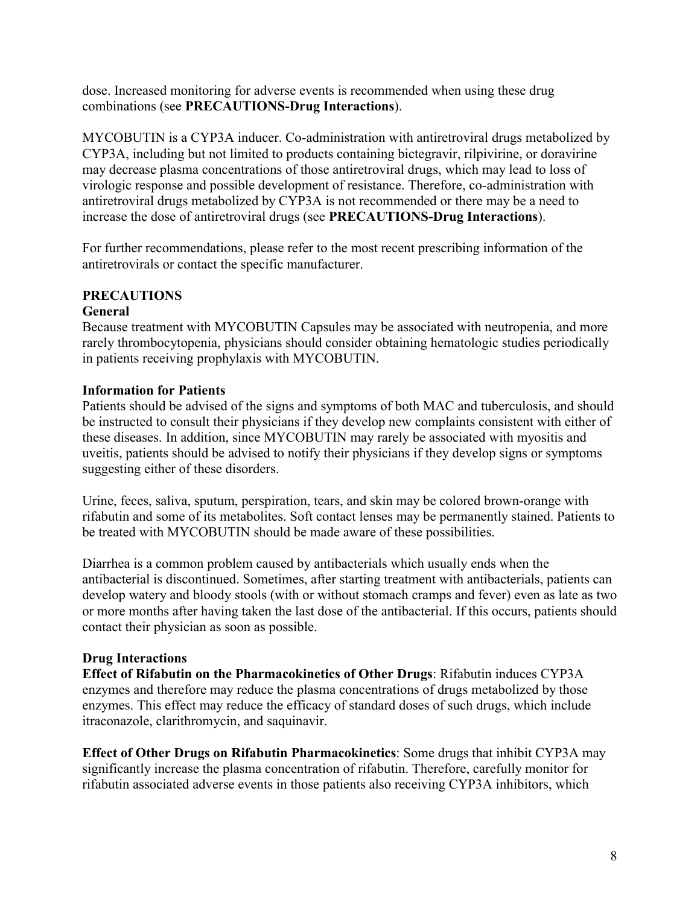dose. Increased monitoring for adverse events is recommended when using these drug combinations (see **PRECAUTIONS-Drug Interactions**).

MYCOBUTIN is a CYP3A inducer. Co-administration with antiretroviral drugs metabolized by CYP3A, including but not limited to products containing bictegravir, rilpivirine, or doravirine may decrease plasma concentrations of those antiretroviral drugs, which may lead to loss of virologic response and possible development of resistance. Therefore, co-administration with antiretroviral drugs metabolized by CYP3A is not recommended or there may be a need to increase the dose of antiretroviral drugs (see **PRECAUTIONS-Drug Interactions**).

For further recommendations, please refer to the most recent prescribing information of the antiretrovirals or contact the specific manufacturer.

### **PRECAUTIONS General**

Because treatment with MYCOBUTIN Capsules may be associated with neutropenia, and more rarely thrombocytopenia, physicians should consider obtaining hematologic studies periodically in patients receiving prophylaxis with MYCOBUTIN.

# **Information for Patients**

Patients should be advised of the signs and symptoms of both MAC and tuberculosis, and should be instructed to consult their physicians if they develop new complaints consistent with either of these diseases. In addition, since MYCOBUTIN may rarely be associated with myositis and uveitis, patients should be advised to notify their physicians if they develop signs or symptoms suggesting either of these disorders.

Urine, feces, saliva, sputum, perspiration, tears, and skin may be colored brown-orange with rifabutin and some of its metabolites. Soft contact lenses may be permanently stained. Patients to be treated with MYCOBUTIN should be made aware of these possibilities.

Diarrhea is a common problem caused by antibacterials which usually ends when the antibacterial is discontinued. Sometimes, after starting treatment with antibacterials, patients can develop watery and bloody stools (with or without stomach cramps and fever) even as late as two or more months after having taken the last dose of the antibacterial. If this occurs, patients should contact their physician as soon as possible.

# **Drug Interactions**

**Effect of Rifabutin on the Pharmacokinetics of Other Drugs**: Rifabutin induces CYP3A enzymes and therefore may reduce the plasma concentrations of drugs metabolized by those enzymes. This effect may reduce the efficacy of standard doses of such drugs, which include itraconazole, clarithromycin, and saquinavir.

**Effect of Other Drugs on Rifabutin Pharmacokinetics**: Some drugs that inhibit CYP3A may significantly increase the plasma concentration of rifabutin. Therefore, carefully monitor for rifabutin associated adverse events in those patients also receiving CYP3A inhibitors, which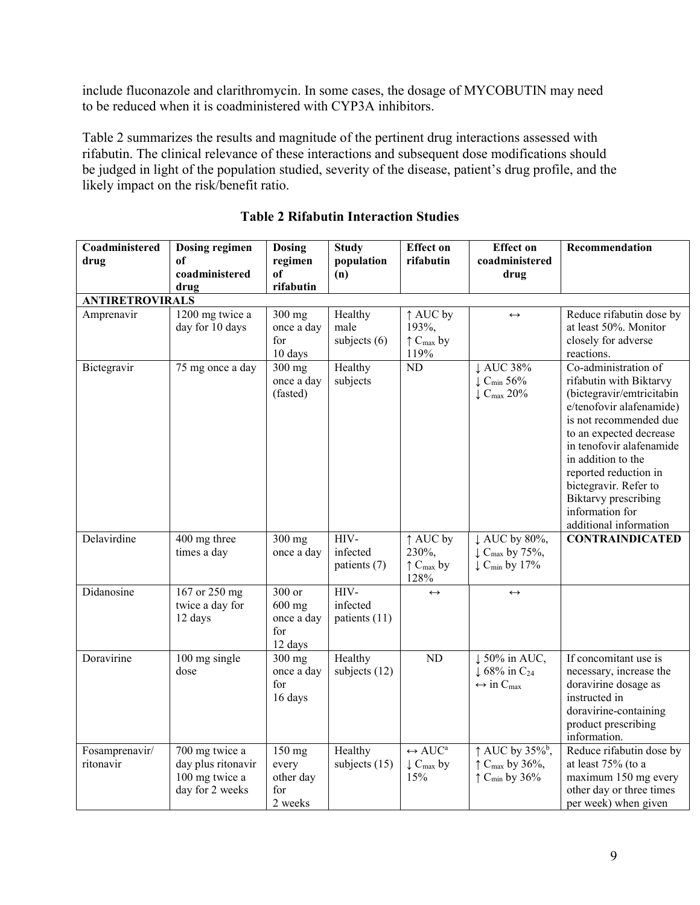include fluconazole and clarithromycin. In some cases, the dosage of MYCOBUTIN may need to be reduced when it is coadministered with CYP3A inhibitors.

Table 2 summarizes the results and magnitude of the pertinent drug interactions assessed with rifabutin. The clinical relevance of these interactions and subsequent dose modifications should be judged in light of the population studied, severity of the disease, patient's drug profile, and the likely impact on the risk/benefit ratio.

| Coadministered<br>drug      | Dosing regimen<br>of<br>coadministered<br>drug                            | <b>Dosing</b><br>regimen<br>of<br>rifabutin        | <b>Study</b><br>population<br>(n) | <b>Effect on</b><br>rifabutin                                                 | <b>Effect</b> on<br>coadministered<br>drug                                                                        | Recommendation                                                                                                                                                                                                                                                                                                                                |
|-----------------------------|---------------------------------------------------------------------------|----------------------------------------------------|-----------------------------------|-------------------------------------------------------------------------------|-------------------------------------------------------------------------------------------------------------------|-----------------------------------------------------------------------------------------------------------------------------------------------------------------------------------------------------------------------------------------------------------------------------------------------------------------------------------------------|
| <b>ANTIRETROVIRALS</b>      |                                                                           |                                                    |                                   |                                                                               |                                                                                                                   |                                                                                                                                                                                                                                                                                                                                               |
| Amprenavir                  | 1200 mg twice a<br>day for 10 days                                        | 300 mg<br>once a day<br>for<br>10 days             | Healthy<br>male<br>subjects $(6)$ | ↑ AUC by<br>193%,<br>$\uparrow$ C <sub>max</sub> by<br>119%                   | $\leftrightarrow$                                                                                                 | Reduce rifabutin dose by<br>at least 50%. Monitor<br>closely for adverse<br>reactions.                                                                                                                                                                                                                                                        |
| Bictegravir                 | 75 mg once a day                                                          | $300$ mg<br>once a day<br>(fasted)                 | Healthy<br>subjects               | $\overline{ND}$                                                               | ↓ AUC 38%<br>$\downarrow$ C <sub>min</sub> 56%<br>$\downarrow$ C <sub>max</sub> 20%                               | Co-administration of<br>rifabutin with Biktarvy<br>(bictegravir/emtricitabin<br>e/tenofovir alafenamide)<br>is not recommended due<br>to an expected decrease<br>in tenofovir alafenamide<br>in addition to the<br>reported reduction in<br>bictegravir. Refer to<br><b>Biktarvy</b> prescribing<br>information for<br>additional information |
| Delavirdine                 | 400 mg three<br>times a day                                               | $300$ mg<br>once a day                             | HIV-<br>infected<br>patients (7)  | ↑ AUC by<br>230%,<br>$\uparrow$ C <sub>max</sub> by<br>128%                   | ↓ AUC by 80%,<br>$\downarrow$ C <sub>max</sub> by 75%,<br>$\downarrow$ C <sub>min</sub> by 17%                    | <b>CONTRAINDICATED</b>                                                                                                                                                                                                                                                                                                                        |
| Didanosine                  | 167 or 250 mg<br>twice a day for<br>12 days                               | 300 or<br>$600$ mg<br>once a day<br>for<br>12 days | HIV-<br>infected<br>patients (11) | $\leftrightarrow$                                                             | $\leftrightarrow$                                                                                                 |                                                                                                                                                                                                                                                                                                                                               |
| Doravirine                  | 100 mg single<br>dose                                                     | 300 mg<br>once a day<br>for<br>16 days             | Healthy<br>subjects (12)          | <b>ND</b>                                                                     | ↓ 50% in AUC,<br>$\downarrow$ 68% in C <sub>24</sub><br>$\leftrightarrow$ in C <sub>max</sub>                     | If concomitant use is<br>necessary, increase the<br>doravirine dosage as<br>instructed in<br>doravirine-containing<br>product prescribing<br>information.                                                                                                                                                                                     |
| Fosamprenavir/<br>ritonavir | 700 mg twice a<br>day plus ritonavir<br>100 mg twice a<br>day for 2 weeks | $150$ mg<br>every<br>other day<br>for<br>2 weeks   | Healthy<br>subjects $(15)$        | $\leftrightarrow$ AUC <sup>a</sup><br>$\downarrow$ C <sub>max</sub> by<br>15% | $\uparrow$ AUC by 35% <sup>b</sup> ,<br>$\uparrow$ C <sub>max</sub> by 36%,<br>$\uparrow$ C <sub>min</sub> by 36% | Reduce rifabutin dose by<br>at least 75% (to a<br>maximum 150 mg every<br>other day or three times<br>per week) when given                                                                                                                                                                                                                    |

# **Table 2 Rifabutin Interaction Studies**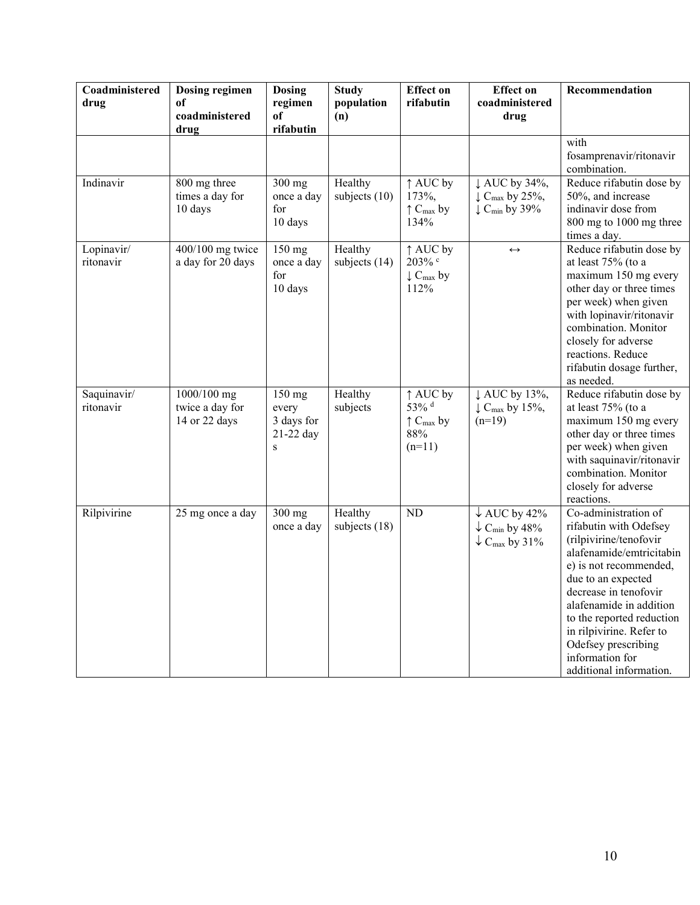| Coadministered<br>drug   | Dosing regimen<br>of<br>coadministered<br>drug  | <b>Dosing</b><br>regimen<br>of<br>rifabutin             | <b>Study</b><br>population<br>(n) | <b>Effect on</b><br>rifabutin                                          | <b>Effect on</b><br>coadministered<br>drug                                                              | Recommendation                                                                                                                                                                                                                                                                                                                         |
|--------------------------|-------------------------------------------------|---------------------------------------------------------|-----------------------------------|------------------------------------------------------------------------|---------------------------------------------------------------------------------------------------------|----------------------------------------------------------------------------------------------------------------------------------------------------------------------------------------------------------------------------------------------------------------------------------------------------------------------------------------|
|                          |                                                 |                                                         |                                   |                                                                        |                                                                                                         | with<br>fosamprenavir/ritonavir<br>combination.                                                                                                                                                                                                                                                                                        |
| Indinavir                | 800 mg three<br>times a day for<br>10 days      | 300 mg<br>once a day<br>for<br>10 days                  | Healthy<br>subjects (10)          | ↑ AUC by<br>173%,<br>$\uparrow$ C <sub>max</sub> by<br>134%            | ↓ AUC by 34%,<br>$\downarrow$ C <sub>max</sub> by 25%,<br>$\downarrow$ C <sub>min</sub> by 39%          | Reduce rifabutin dose by<br>50%, and increase<br>indinavir dose from<br>800 mg to 1000 mg three<br>times a day.                                                                                                                                                                                                                        |
| Lopinavir/<br>ritonavir  | 400/100 mg twice<br>a day for 20 days           | 150 mg<br>once a day<br>for<br>10 days                  | Healthy<br>subjects $(14)$        | ↑ AUC by<br>203% c<br>$\downarrow$ C <sub>max</sub> by<br>112%         | $\leftrightarrow$                                                                                       | Reduce rifabutin dose by<br>at least 75% (to a<br>maximum 150 mg every<br>other day or three times<br>per week) when given<br>with lopinavir/ritonavir<br>combination. Monitor<br>closely for adverse<br>reactions. Reduce<br>rifabutin dosage further,<br>as needed.                                                                  |
| Saquinavir/<br>ritonavir | 1000/100 mg<br>twice a day for<br>14 or 22 days | 150 mg<br>every<br>3 days for<br>21-22 day<br>${\bf S}$ | Healthy<br>subjects               | ↑ AUC by<br>53% d<br>$\uparrow$ C <sub>max</sub> by<br>88%<br>$(n=11)$ | ↓ AUC by 13%,<br>$\downarrow$ C <sub>max</sub> by 15%,<br>$(n=19)$                                      | Reduce rifabutin dose by<br>at least 75% (to a<br>maximum 150 mg every<br>other day or three times<br>per week) when given<br>with saquinavir/ritonavir<br>combination. Monitor<br>closely for adverse<br>reactions.                                                                                                                   |
| Rilpivirine              | 25 mg once a day                                | 300 mg<br>once a day                                    | Healthy<br>subjects (18)          | <b>ND</b>                                                              | $\downarrow$ AUC by 42%<br>$\downarrow$ C <sub>min</sub> by 48%<br>$\downarrow$ C <sub>max</sub> by 31% | Co-administration of<br>rifabutin with Odefsey<br>(rilpivirine/tenofovir<br>alafenamide/emtricitabin<br>e) is not recommended,<br>due to an expected<br>decrease in tenofovir<br>alafenamide in addition<br>to the reported reduction<br>in rilpivirine. Refer to<br>Odefsey prescribing<br>information for<br>additional information. |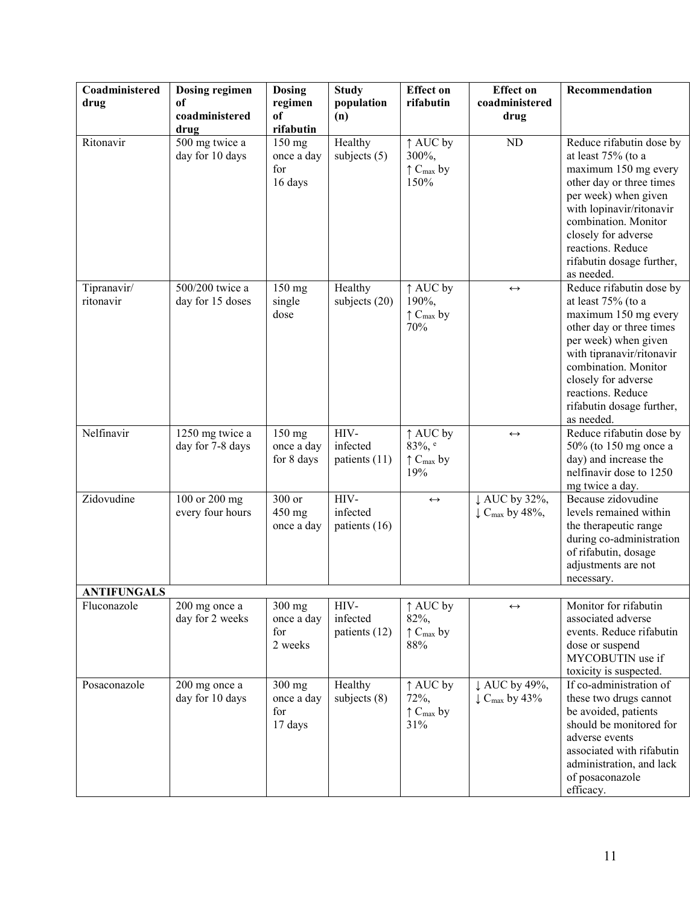| Coadministered           | Dosing regimen                            | <b>Dosing</b>                            | <b>Study</b>                      | <b>Effect on</b>                                            | <b>Effect on</b>                                       | Recommendation                                                                                                                                                                                                                                                         |
|--------------------------|-------------------------------------------|------------------------------------------|-----------------------------------|-------------------------------------------------------------|--------------------------------------------------------|------------------------------------------------------------------------------------------------------------------------------------------------------------------------------------------------------------------------------------------------------------------------|
| drug                     | of                                        | regimen                                  | population                        | rifabutin                                                   | coadministered                                         |                                                                                                                                                                                                                                                                        |
|                          | coadministered                            | of<br>rifabutin                          | (n)                               |                                                             | drug                                                   |                                                                                                                                                                                                                                                                        |
| Ritonavir                | drug<br>500 mg twice a<br>day for 10 days | 150 mg<br>once a day<br>for<br>16 days   | Healthy<br>subjects $(5)$         | ↑ AUC by<br>300%,<br>$\uparrow$ C <sub>max</sub> by<br>150% | ND                                                     | Reduce rifabutin dose by<br>at least 75% (to a<br>maximum 150 mg every<br>other day or three times<br>per week) when given<br>with lopinavir/ritonavir<br>combination. Monitor<br>closely for adverse<br>reactions. Reduce<br>rifabutin dosage further,<br>as needed.  |
| Tipranavir/<br>ritonavir | 500/200 twice a<br>day for 15 doses       | 150 mg<br>single<br>dose                 | Healthy<br>subjects (20)          | ↑ AUC by<br>190%,<br>$\uparrow$ C <sub>max</sub> by<br>70%  | $\leftrightarrow$                                      | Reduce rifabutin dose by<br>at least 75% (to a<br>maximum 150 mg every<br>other day or three times<br>per week) when given<br>with tipranavir/ritonavir<br>combination. Monitor<br>closely for adverse<br>reactions. Reduce<br>rifabutin dosage further,<br>as needed. |
| Nelfinavir               | 1250 mg twice a<br>day for 7-8 days       | $150$ mg<br>once a day<br>for 8 days     | HIV-<br>infected<br>patients (11) | ↑ AUC by<br>83%, e<br>$\uparrow$ C <sub>max</sub> by<br>19% | $\leftrightarrow$                                      | Reduce rifabutin dose by<br>50% (to 150 mg once a<br>day) and increase the<br>nelfinavir dose to 1250<br>mg twice a day.                                                                                                                                               |
| Zidovudine               | 100 or 200 mg<br>every four hours         | 300 or<br>450 mg<br>once a day           | HIV-<br>infected<br>patients (16) | $\leftrightarrow$                                           | ↓ AUC by 32%,<br>$\downarrow$ C <sub>max</sub> by 48%, | Because zidovudine<br>levels remained within<br>the therapeutic range<br>during co-administration<br>of rifabutin, dosage<br>adjustments are not<br>necessary.                                                                                                         |
| <b>ANTIFUNGALS</b>       |                                           |                                          |                                   |                                                             |                                                        |                                                                                                                                                                                                                                                                        |
| Fluconazole              | 200 mg once a<br>day for 2 weeks          | $300$ mg<br>once a day<br>for<br>2 weeks | HIV-<br>infected<br>patients (12) | ↑ AUC by<br>82%,<br>$\uparrow$ $C_{\text{max}}$ by<br>88%   | $\leftrightarrow$                                      | Monitor for rifabutin<br>associated adverse<br>events. Reduce rifabutin<br>dose or suspend<br>MYCOBUTIN use if<br>toxicity is suspected.                                                                                                                               |
| Posaconazole             | 200 mg once a<br>day for 10 days          | 300 mg<br>once a day<br>for<br>17 days   | Healthy<br>subjects $(8)$         | ↑ AUC by<br>72%,<br>$\uparrow$ C <sub>max</sub> by<br>31%   | ↓ AUC by 49%,<br>$\downarrow$ C <sub>max</sub> by 43%  | If co-administration of<br>these two drugs cannot<br>be avoided, patients<br>should be monitored for<br>adverse events<br>associated with rifabutin<br>administration, and lack<br>of posaconazole<br>efficacy.                                                        |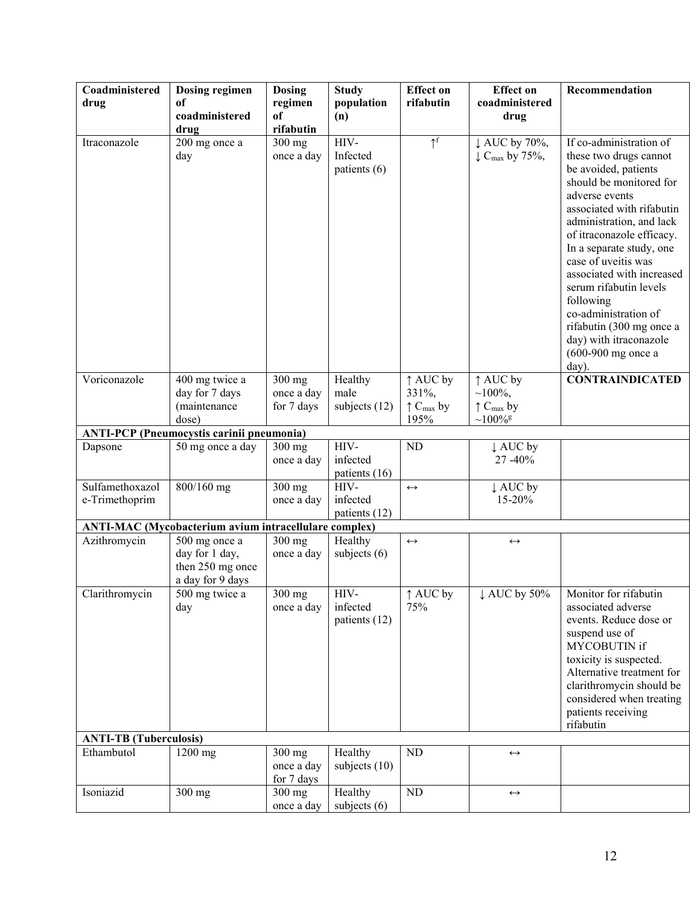| Coadministered<br>drug            | <b>Dosing regimen</b><br>of                                             | <b>Dosing</b><br>regimen             | <b>Study</b><br>population         | <b>Effect on</b><br>rifabutin                                        | <b>Effect</b> on<br>coadministered                                | Recommendation                                                                                                                                                                                                                                                                                                                                                                                                                                     |
|-----------------------------------|-------------------------------------------------------------------------|--------------------------------------|------------------------------------|----------------------------------------------------------------------|-------------------------------------------------------------------|----------------------------------------------------------------------------------------------------------------------------------------------------------------------------------------------------------------------------------------------------------------------------------------------------------------------------------------------------------------------------------------------------------------------------------------------------|
|                                   | coadministered<br>drug                                                  | of<br>rifabutin                      | (n)                                |                                                                      | drug                                                              |                                                                                                                                                                                                                                                                                                                                                                                                                                                    |
| Itraconazole                      | 200 mg once a<br>day                                                    | 300 mg<br>once a day                 | HIV-<br>Infected<br>patients (6)   | $\uparrow^f$                                                         | $\downarrow$ AUC by 70%,<br>$\downarrow$ C <sub>max</sub> by 75%, | If co-administration of<br>these two drugs cannot<br>be avoided, patients<br>should be monitored for<br>adverse events<br>associated with rifabutin<br>administration, and lack<br>of itraconazole efficacy.<br>In a separate study, one<br>case of uveitis was<br>associated with increased<br>serum rifabutin levels<br>following<br>co-administration of<br>rifabutin (300 mg once a<br>day) with itraconazole<br>$(600-900$ mg once a<br>day). |
| Voriconazole                      | 400 mg twice a<br>day for 7 days<br>(maintenance<br>dose)               | $300$ mg<br>once a day<br>for 7 days | Healthy<br>male<br>subjects $(12)$ | $\uparrow$ AUC by<br>331%,<br>$\uparrow$ C <sub>max</sub> by<br>195% | ↑ AUC by<br>$~100\%,$<br>$\uparrow C_{max}$ by<br>$~100\%$ g      | <b>CONTRAINDICATED</b>                                                                                                                                                                                                                                                                                                                                                                                                                             |
|                                   | <b>ANTI-PCP</b> (Pneumocystis carinii pneumonia)                        |                                      |                                    |                                                                      |                                                                   |                                                                                                                                                                                                                                                                                                                                                                                                                                                    |
| Dapsone                           | 50 mg once a day                                                        | 300 mg<br>once a day                 | HIV-<br>infected<br>patients (16)  | ND                                                                   | ↓ AUC by<br>27 - 40%                                              |                                                                                                                                                                                                                                                                                                                                                                                                                                                    |
| Sulfamethoxazol<br>e-Trimethoprim | $800/160$ mg                                                            | 300 mg<br>once a day                 | HIV-<br>infected<br>patients (12)  | $\leftrightarrow$                                                    | ↓ AUC by<br>15-20%                                                |                                                                                                                                                                                                                                                                                                                                                                                                                                                    |
|                                   | <b>ANTI-MAC</b> (Mycobacterium avium intracellulare complex)            |                                      |                                    |                                                                      |                                                                   |                                                                                                                                                                                                                                                                                                                                                                                                                                                    |
| Azithromycin                      | 500 mg once a<br>day for 1 day,<br>then 250 mg once<br>a day for 9 days | $300$ mg<br>once a day               | Healthy<br>subjects $(6)$          | $\leftrightarrow$                                                    | $\leftrightarrow$                                                 |                                                                                                                                                                                                                                                                                                                                                                                                                                                    |
| Clarithromycin                    | $\overline{500}$ mg twice a<br>day                                      | $300$ mg<br>once a day               | HIV-<br>infected<br>patients (12)  | ↑ AUC by<br>75%                                                      | $\downarrow$ AUC by 50%                                           | Monitor for rifabutin<br>associated adverse<br>events. Reduce dose or<br>suspend use of<br>MYCOBUTIN if<br>toxicity is suspected.<br>Alternative treatment for<br>clarithromycin should be<br>considered when treating<br>patients receiving<br>rifabutin                                                                                                                                                                                          |
| <b>ANTI-TB</b> (Tuberculosis)     |                                                                         |                                      |                                    |                                                                      |                                                                   |                                                                                                                                                                                                                                                                                                                                                                                                                                                    |
| Ethambutol                        | 1200 mg                                                                 | $300$ mg<br>once a day<br>for 7 days | Healthy<br>subjects $(10)$         | ND                                                                   | $\leftrightarrow$                                                 |                                                                                                                                                                                                                                                                                                                                                                                                                                                    |
| Isoniazid                         | 300 mg                                                                  | $300$ mg<br>once a day               | Healthy<br>subjects $(6)$          | ND                                                                   | $\longleftrightarrow$                                             |                                                                                                                                                                                                                                                                                                                                                                                                                                                    |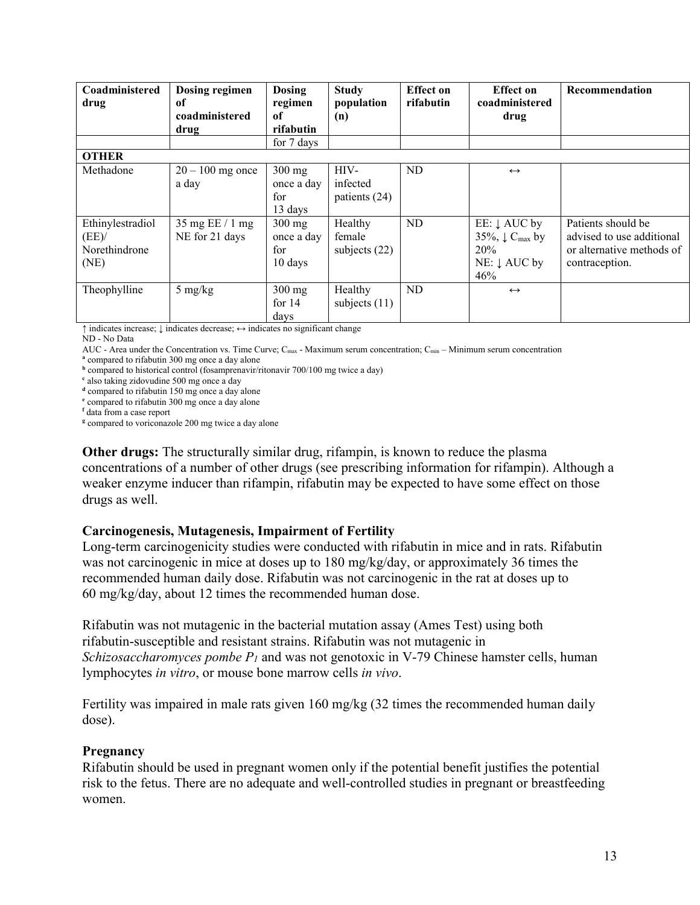| Coadministered<br>drug                            | Dosing regimen<br>of<br>coadministered<br>drug      | <b>Dosing</b><br>regimen<br>оf<br>rifabutin        | <b>Study</b><br>population<br>(n)    | <b>Effect</b> on<br>rifabutin | <b>Effect</b> on<br>coadministered<br>drug                                                     | Recommendation                                                                                 |
|---------------------------------------------------|-----------------------------------------------------|----------------------------------------------------|--------------------------------------|-------------------------------|------------------------------------------------------------------------------------------------|------------------------------------------------------------------------------------------------|
|                                                   |                                                     | for 7 days                                         |                                      |                               |                                                                                                |                                                                                                |
| <b>OTHER</b><br>Methadone                         | $20 - 100$ mg once<br>a day                         | $300$ mg<br>once a day<br>for<br>13 days           | HIV-<br>infected<br>patients (24)    | ND                            | $\leftrightarrow$                                                                              |                                                                                                |
| Ethinylestradiol<br>(EE)<br>Norethindrone<br>(NE) | $35 \text{ mg EE} / 1 \text{ mg}$<br>NE for 21 days | $300$ mg<br>once a day<br>for<br>$10 \text{ days}$ | Healthy<br>female<br>subjects $(22)$ | ND                            | EE: ↓ AUC by<br>35%, $\downarrow$ C <sub>max</sub> by<br>20%<br>$NE: \downarrow AUC$ by<br>46% | Patients should be<br>advised to use additional<br>or alternative methods of<br>contraception. |
| Theophylline                                      | $5 \text{ mg/kg}$                                   | $300$ mg<br>for $14$<br>days                       | Healthy<br>subjects $(11)$           | ND                            | $\leftrightarrow$                                                                              |                                                                                                |

↑ indicates increase; ↓ indicates decrease; ↔ indicates no significant change ND - No Data

AUC - Area under the Concentration vs. Time Curve;  $C_{\text{max}}$  - Maximum serum concentration;  $C_{\text{min}}$  – Minimum serum concentration

**a** compared to rifabutin 300 mg once a day alone

**b** compared to historical control (fosamprenavir/ritonavir 700/100 mg twice a day)

**c** also taking zidovudine 500 mg once a day

<sup>d</sup> compared to rifabutin 150 mg once a day alone

**e** compared to rifabutin 300 mg once a day alone

**<sup>f</sup>** data from a case report

<sup>g</sup> compared to voriconazole 200 mg twice a day alone

**Other drugs:** The structurally similar drug, rifampin, is known to reduce the plasma concentrations of a number of other drugs (see prescribing information for rifampin). Although a weaker enzyme inducer than rifampin, rifabutin may be expected to have some effect on those drugs as well.

#### **Carcinogenesis, Mutagenesis, Impairment of Fertility**

Long-term carcinogenicity studies were conducted with rifabutin in mice and in rats. Rifabutin was not carcinogenic in mice at doses up to 180 mg/kg/day, or approximately 36 times the recommended human daily dose. Rifabutin was not carcinogenic in the rat at doses up to 60 mg/kg/day, about 12 times the recommended human dose.

Rifabutin was not mutagenic in the bacterial mutation assay (Ames Test) using both rifabutin-susceptible and resistant strains. Rifabutin was not mutagenic in *Schizosaccharomyces pombe P<sup>1</sup>* and was not genotoxic in V-79 Chinese hamster cells, human lymphocytes *in vitro*, or mouse bone marrow cells *in vivo*.

Fertility was impaired in male rats given 160 mg/kg (32 times the recommended human daily dose).

#### **Pregnancy**

Rifabutin should be used in pregnant women only if the potential benefit justifies the potential risk to the fetus. There are no adequate and well-controlled studies in pregnant or breastfeeding women.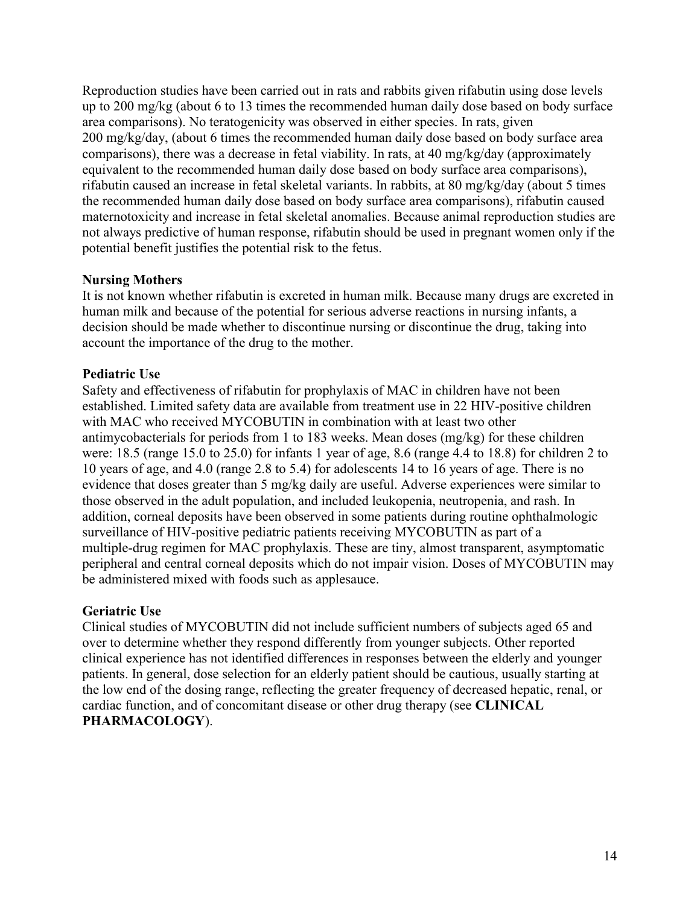Reproduction studies have been carried out in rats and rabbits given rifabutin using dose levels up to 200 mg/kg (about 6 to 13 times the recommended human daily dose based on body surface area comparisons). No teratogenicity was observed in either species. In rats, given 200 mg/kg/day, (about 6 times the recommended human daily dose based on body surface area comparisons), there was a decrease in fetal viability. In rats, at 40 mg/kg/day (approximately equivalent to the recommended human daily dose based on body surface area comparisons), rifabutin caused an increase in fetal skeletal variants. In rabbits, at 80 mg/kg/day (about 5 times the recommended human daily dose based on body surface area comparisons), rifabutin caused maternotoxicity and increase in fetal skeletal anomalies. Because animal reproduction studies are not always predictive of human response, rifabutin should be used in pregnant women only if the potential benefit justifies the potential risk to the fetus.

# **Nursing Mothers**

It is not known whether rifabutin is excreted in human milk. Because many drugs are excreted in human milk and because of the potential for serious adverse reactions in nursing infants, a decision should be made whether to discontinue nursing or discontinue the drug, taking into account the importance of the drug to the mother.

### **Pediatric Use**

Safety and effectiveness of rifabutin for prophylaxis of MAC in children have not been established. Limited safety data are available from treatment use in 22 HIV-positive children with MAC who received MYCOBUTIN in combination with at least two other antimycobacterials for periods from 1 to 183 weeks. Mean doses (mg/kg) for these children were: 18.5 (range 15.0 to 25.0) for infants 1 year of age, 8.6 (range 4.4 to 18.8) for children 2 to 10 years of age, and 4.0 (range 2.8 to 5.4) for adolescents 14 to 16 years of age. There is no evidence that doses greater than 5 mg/kg daily are useful. Adverse experiences were similar to those observed in the adult population, and included leukopenia, neutropenia, and rash. In addition, corneal deposits have been observed in some patients during routine ophthalmologic surveillance of HIV-positive pediatric patients receiving MYCOBUTIN as part of a multiple-drug regimen for MAC prophylaxis. These are tiny, almost transparent, asymptomatic peripheral and central corneal deposits which do not impair vision. Doses of MYCOBUTIN may be administered mixed with foods such as applesauce.

#### **Geriatric Use**

Clinical studies of MYCOBUTIN did not include sufficient numbers of subjects aged 65 and over to determine whether they respond differently from younger subjects. Other reported clinical experience has not identified differences in responses between the elderly and younger patients. In general, dose selection for an elderly patient should be cautious, usually starting at the low end of the dosing range, reflecting the greater frequency of decreased hepatic, renal, or cardiac function, and of concomitant disease or other drug therapy (see **CLINICAL PHARMACOLOGY**).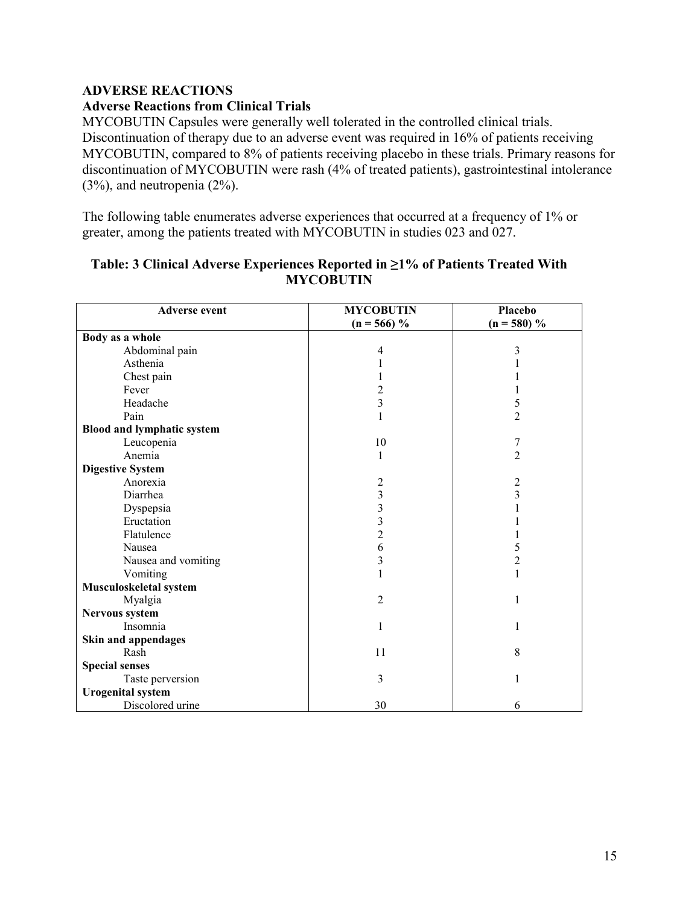# **ADVERSE REACTIONS**

# **Adverse Reactions from Clinical Trials**

MYCOBUTIN Capsules were generally well tolerated in the controlled clinical trials. Discontinuation of therapy due to an adverse event was required in 16% of patients receiving MYCOBUTIN, compared to 8% of patients receiving placebo in these trials. Primary reasons for discontinuation of MYCOBUTIN were rash (4% of treated patients), gastrointestinal intolerance (3%), and neutropenia (2%).

The following table enumerates adverse experiences that occurred at a frequency of 1% or greater, among the patients treated with MYCOBUTIN in studies 023 and 027.

| <b>Adverse event</b>              | <b>MYCOBUTIN</b><br>$(n = 566)$ % | Placebo<br>$(n = 580)$ % |
|-----------------------------------|-----------------------------------|--------------------------|
| Body as a whole                   |                                   |                          |
| Abdominal pain                    | 4                                 | 3                        |
| Asthenia                          |                                   |                          |
| Chest pain                        | L                                 |                          |
| Fever                             | 2                                 | ı                        |
| Headache                          | 3                                 | 5                        |
| Pain                              | 1                                 | $\overline{2}$           |
| <b>Blood and lymphatic system</b> |                                   |                          |
| Leucopenia                        | 10                                | 7                        |
| Anemia                            | 1                                 | $\overline{2}$           |
| <b>Digestive System</b>           |                                   |                          |
| Anorexia                          | 2                                 | $\overline{c}$           |
| Diarrhea                          | 3                                 | 3                        |
| Dyspepsia                         | 3                                 |                          |
| Eructation                        | 3                                 |                          |
| Flatulence                        | $\overline{c}$                    |                          |
| Nausea                            | 6                                 | 5                        |
| Nausea and vomiting               | 3                                 | 2                        |
| Vomiting                          | 1                                 | 1                        |
| Musculoskeletal system            |                                   |                          |
| Myalgia                           | $\overline{2}$                    | 1                        |
| Nervous system                    |                                   |                          |
| Insomnia                          | 1                                 | 1                        |
| Skin and appendages               |                                   |                          |
| Rash                              | 11                                | 8                        |
| <b>Special senses</b>             |                                   |                          |
| Taste perversion                  | 3                                 | 1                        |
| <b>Urogenital system</b>          |                                   |                          |
| Discolored urine                  | 30                                | 6                        |

### **Table: 3 Clinical Adverse Experiences Reported in ≥1% of Patients Treated With MYCOBUTIN**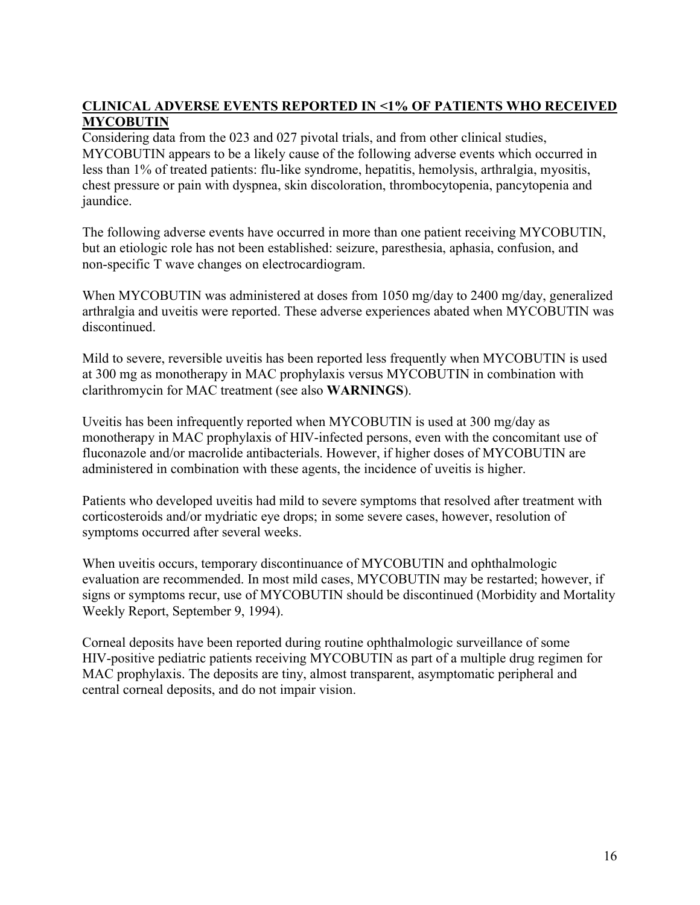# **CLINICAL ADVERSE EVENTS REPORTED IN <1% OF PATIENTS WHO RECEIVED MYCOBUTIN**

Considering data from the 023 and 027 pivotal trials, and from other clinical studies, MYCOBUTIN appears to be a likely cause of the following adverse events which occurred in less than 1% of treated patients: flu-like syndrome, hepatitis, hemolysis, arthralgia, myositis, chest pressure or pain with dyspnea, skin discoloration, thrombocytopenia, pancytopenia and jaundice.

The following adverse events have occurred in more than one patient receiving MYCOBUTIN, but an etiologic role has not been established: seizure, paresthesia, aphasia, confusion, and non-specific T wave changes on electrocardiogram.

When MYCOBUTIN was administered at doses from 1050 mg/day to 2400 mg/day, generalized arthralgia and uveitis were reported. These adverse experiences abated when MYCOBUTIN was discontinued.

Mild to severe, reversible uveitis has been reported less frequently when MYCOBUTIN is used at 300 mg as monotherapy in MAC prophylaxis versus MYCOBUTIN in combination with clarithromycin for MAC treatment (see also **WARNINGS**).

Uveitis has been infrequently reported when MYCOBUTIN is used at 300 mg/day as monotherapy in MAC prophylaxis of HIV-infected persons, even with the concomitant use of fluconazole and/or macrolide antibacterials. However, if higher doses of MYCOBUTIN are administered in combination with these agents, the incidence of uveitis is higher.

Patients who developed uveitis had mild to severe symptoms that resolved after treatment with corticosteroids and/or mydriatic eye drops; in some severe cases, however, resolution of symptoms occurred after several weeks.

When uveitis occurs, temporary discontinuance of MYCOBUTIN and ophthalmologic evaluation are recommended. In most mild cases, MYCOBUTIN may be restarted; however, if signs or symptoms recur, use of MYCOBUTIN should be discontinued (Morbidity and Mortality Weekly Report, September 9, 1994).

Corneal deposits have been reported during routine ophthalmologic surveillance of some HIV-positive pediatric patients receiving MYCOBUTIN as part of a multiple drug regimen for MAC prophylaxis. The deposits are tiny, almost transparent, asymptomatic peripheral and central corneal deposits, and do not impair vision.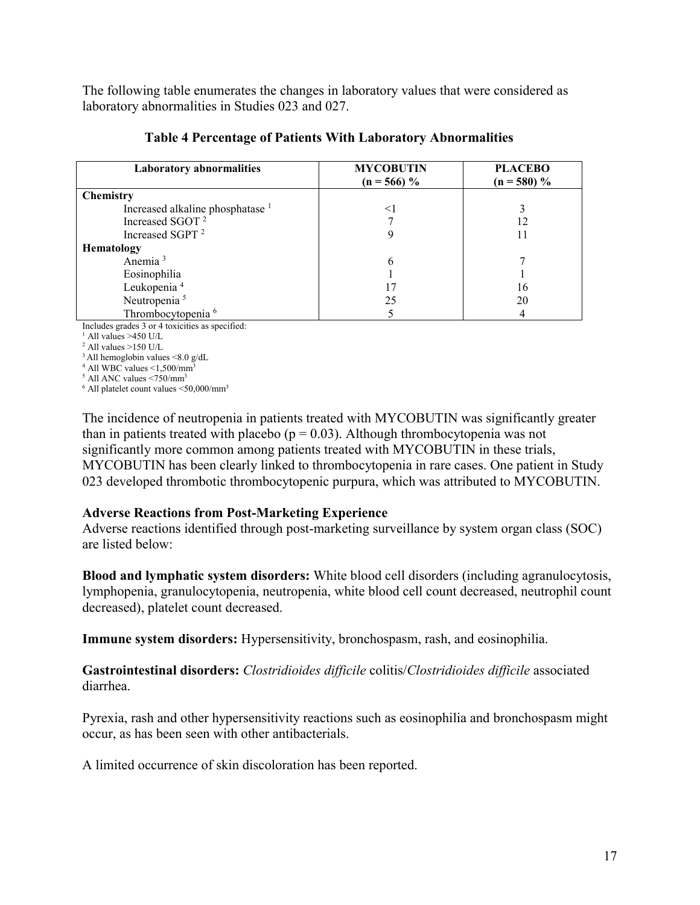The following table enumerates the changes in laboratory values that were considered as laboratory abnormalities in Studies 023 and 027.

| <b>Laboratory abnormalities</b>             | <b>MYCOBUTIN</b> | <b>PLACEBO</b> |
|---------------------------------------------|------------------|----------------|
|                                             | $(n = 566)$ %    | $(n = 580)$ %  |
| <b>Chemistry</b>                            |                  |                |
| Increased alkaline phosphatase <sup>1</sup> | $\leq$           |                |
| Increased SGOT <sup>2</sup>                 |                  | 12             |
| Increased SGPT <sup>2</sup>                 |                  |                |
| Hematology                                  |                  |                |
| Anemia <sup>3</sup>                         | 6                |                |
| Eosinophilia                                |                  |                |
| Leukopenia <sup>4</sup>                     | 17               | 16             |
| Neutropenia <sup>5</sup>                    | 25               | 20             |
| Thrombocytopenia <sup>6</sup>               |                  |                |

#### **Table 4 Percentage of Patients With Laboratory Abnormalities**

Includes grades 3 or 4 toxicities as specified:

 $<sup>1</sup>$  All values >450 U/L</sup>

 $^{2}$  All values  $>150$  U/L

 $3$  All hemoglobin values  $\leq 8.0$  g/dL

 $4$  All WBC values  $\leq$ 1,500/mm<sup>3</sup>

 $<sup>5</sup>$  All ANC values  $< 750$ /mm<sup>3</sup></sup>

 $^6$  All platelet count values  $\leq$ 50,000/mm<sup>3</sup>

The incidence of neutropenia in patients treated with MYCOBUTIN was significantly greater than in patients treated with placebo ( $p = 0.03$ ). Although thrombocytopenia was not significantly more common among patients treated with MYCOBUTIN in these trials, MYCOBUTIN has been clearly linked to thrombocytopenia in rare cases. One patient in Study 023 developed thrombotic thrombocytopenic purpura, which was attributed to MYCOBUTIN.

# **Adverse Reactions from Post-Marketing Experience**

Adverse reactions identified through post-marketing surveillance by system organ class (SOC) are listed below:

**Blood and lymphatic system disorders:** White blood cell disorders (including agranulocytosis, lymphopenia, granulocytopenia, neutropenia, white blood cell count decreased, neutrophil count decreased), platelet count decreased.

**Immune system disorders:** Hypersensitivity, bronchospasm, rash, and eosinophilia.

**Gastrointestinal disorders:** *Clostridioides difficile* colitis/*Clostridioides difficile* associated diarrhea.

Pyrexia, rash and other hypersensitivity reactions such as eosinophilia and bronchospasm might occur, as has been seen with other antibacterials.

A limited occurrence of skin discoloration has been reported.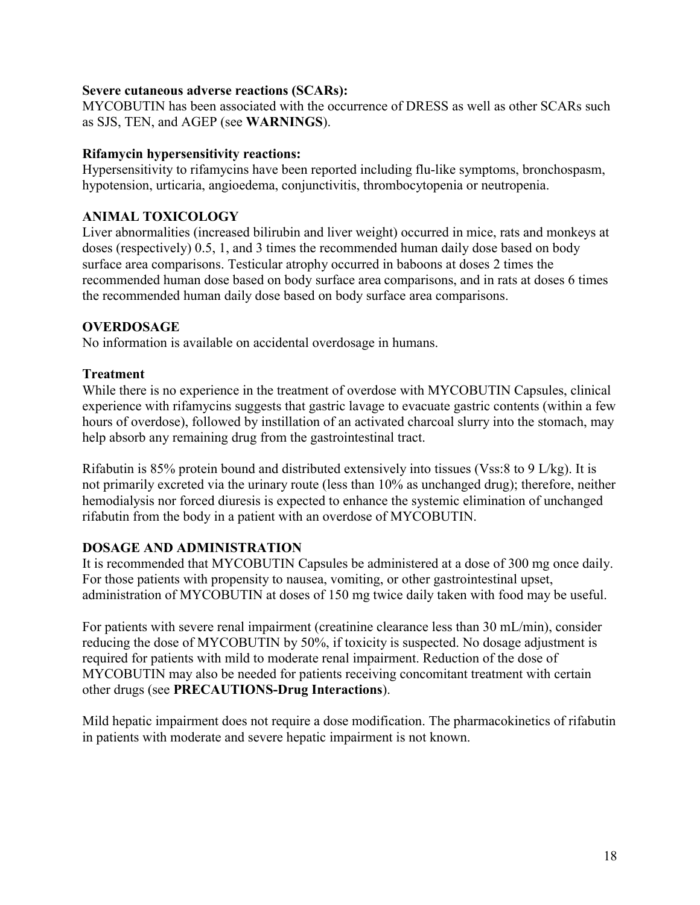### **Severe cutaneous adverse reactions (SCARs):**

MYCOBUTIN has been associated with the occurrence of DRESS as well as other SCARs such as SJS, TEN, and AGEP (see **WARNINGS**).

### **Rifamycin hypersensitivity reactions:**

Hypersensitivity to rifamycins have been reported including flu-like symptoms, bronchospasm, hypotension, urticaria, angioedema, conjunctivitis, thrombocytopenia or neutropenia.

# **ANIMAL TOXICOLOGY**

Liver abnormalities (increased bilirubin and liver weight) occurred in mice, rats and monkeys at doses (respectively) 0.5, 1, and 3 times the recommended human daily dose based on body surface area comparisons. Testicular atrophy occurred in baboons at doses 2 times the recommended human dose based on body surface area comparisons, and in rats at doses 6 times the recommended human daily dose based on body surface area comparisons.

# **OVERDOSAGE**

No information is available on accidental overdosage in humans.

### **Treatment**

While there is no experience in the treatment of overdose with MYCOBUTIN Capsules, clinical experience with rifamycins suggests that gastric lavage to evacuate gastric contents (within a few hours of overdose), followed by instillation of an activated charcoal slurry into the stomach, may help absorb any remaining drug from the gastrointestinal tract.

Rifabutin is 85% protein bound and distributed extensively into tissues (Vss:8 to 9 L/kg). It is not primarily excreted via the urinary route (less than 10% as unchanged drug); therefore, neither hemodialysis nor forced diuresis is expected to enhance the systemic elimination of unchanged rifabutin from the body in a patient with an overdose of MYCOBUTIN.

# **DOSAGE AND ADMINISTRATION**

It is recommended that MYCOBUTIN Capsules be administered at a dose of 300 mg once daily. For those patients with propensity to nausea, vomiting, or other gastrointestinal upset, administration of MYCOBUTIN at doses of 150 mg twice daily taken with food may be useful.

For patients with severe renal impairment (creatinine clearance less than 30 mL/min), consider reducing the dose of MYCOBUTIN by 50%, if toxicity is suspected. No dosage adjustment is required for patients with mild to moderate renal impairment. Reduction of the dose of MYCOBUTIN may also be needed for patients receiving concomitant treatment with certain other drugs (see **PRECAUTIONS-Drug Interactions**).

Mild hepatic impairment does not require a dose modification. The pharmacokinetics of rifabutin in patients with moderate and severe hepatic impairment is not known.